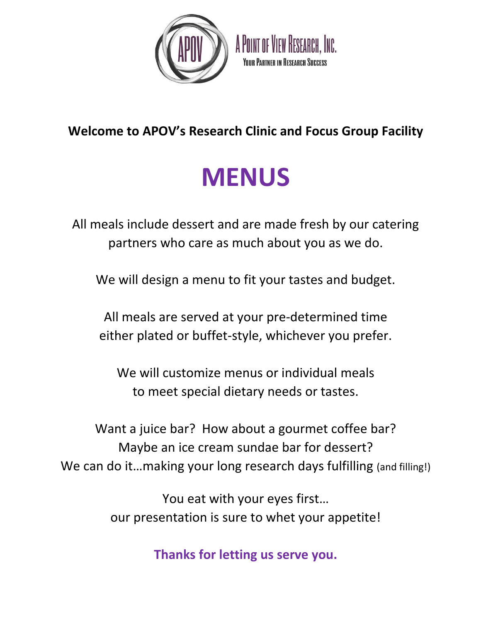

A POINT OF VIEW RESEARCH. INC. **YOUR PARTNER IN RESEARCH SUCCESS** 

## **Welcome to APOV's Research Clinic and Focus Group Facility**

# **MENUS**

All meals include dessert and are made fresh by our catering partners who care as much about you as we do.

We will design a menu to fit your tastes and budget.

All meals are served at your pre-determined time either plated or buffet-style, whichever you prefer.

We will customize menus or individual meals to meet special dietary needs or tastes.

Want a juice bar? How about a gourmet coffee bar? Maybe an ice cream sundae bar for dessert? We can do it...making your long research days fulfilling (and filling!)

> You eat with your eyes first… our presentation is sure to whet your appetite!

> > **Thanks for letting us serve you.**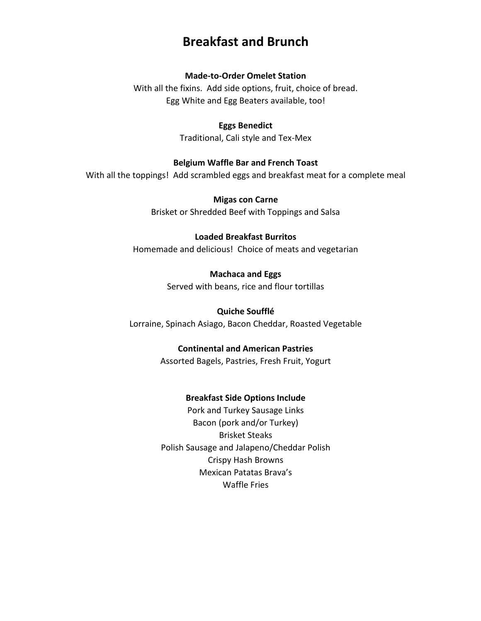## **Breakfast and Brunch**

#### **Made-to-Order Omelet Station**

With all the fixins. Add side options, fruit, choice of bread. Egg White and Egg Beaters available, too!

#### **Eggs Benedict**

Traditional, Cali style and Tex-Mex

#### **Belgium Waffle Bar and French Toast**

With all the toppings! Add scrambled eggs and breakfast meat for a complete meal

**Migas con Carne** Brisket or Shredded Beef with Toppings and Salsa

#### **Loaded Breakfast Burritos**

Homemade and delicious! Choice of meats and vegetarian

**Machaca and Eggs** Served with beans, rice and flour tortillas

**Quiche Soufflé**  Lorraine, Spinach Asiago, Bacon Cheddar, Roasted Vegetable

#### **Continental and American Pastries**

Assorted Bagels, Pastries, Fresh Fruit, Yogurt

#### **Breakfast Side Options Include**

Pork and Turkey Sausage Links Bacon (pork and/or Turkey) Brisket Steaks Polish Sausage and Jalapeno/Cheddar Polish Crispy Hash Browns Mexican Patatas Brava's Waffle Fries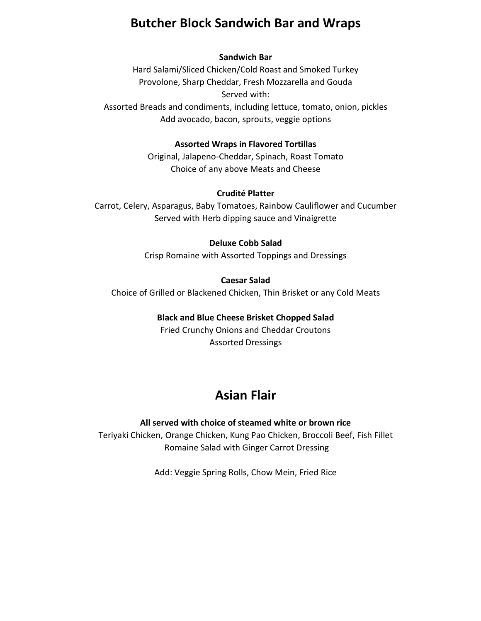## **Butcher Block Sandwich Bar and Wraps**

#### **Sandwich Bar**

Hard Salami/Sliced Chicken/Cold Roast and Smoked Turkey Provolone, Sharp Cheddar, Fresh Mozzarella and Gouda Served with: Assorted Breads and condiments, including lettuce, tomato, onion, pickles Add avocado, bacon, sprouts, veggie options

#### **Assorted Wraps in Flavored Tortillas**

Original, Jalapeno-Cheddar, Spinach, Roast Tomato Choice of any above Meats and Cheese

#### **Crudité Platter**

Carrot, Celery, Asparagus, Baby Tomatoes, Rainbow Cauliflower and Cucumber Served with Herb dipping sauce and Vinaigrette

#### **Deluxe Cobb Salad**

Crisp Romaine with Assorted Toppings and Dressings

#### **Caesar Salad**

Choice of Grilled or Blackened Chicken, Thin Brisket or any Cold Meats

#### **Black and Blue Cheese Brisket Chopped Salad**

Fried Crunchy Onions and Cheddar Croutons Assorted Dressings

## **Asian Flair**

**All served with choice of steamed white or brown rice** Teriyaki Chicken, Orange Chicken, Kung Pao Chicken, Broccoli Beef, Fish Fillet Romaine Salad with Ginger Carrot Dressing

Add: Veggie Spring Rolls, Chow Mein, Fried Rice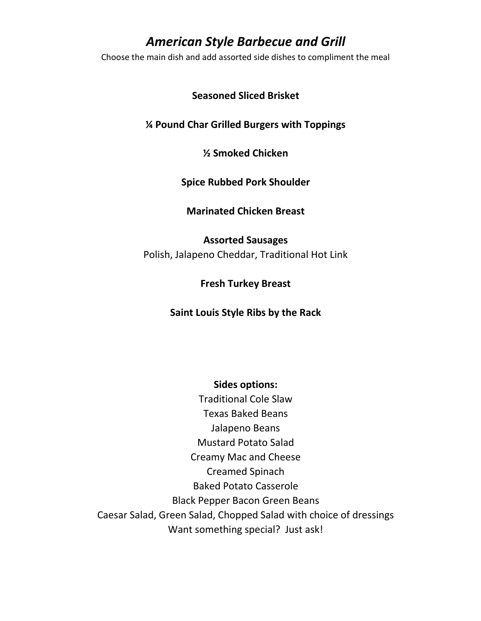### *American Style Barbecue and Grill*

Choose the main dish and add assorted side dishes to compliment the meal

**Seasoned Sliced Brisket**

#### **¼ Pound Char Grilled Burgers with Toppings**

#### **½ Smoked Chicken**

#### **Spice Rubbed Pork Shoulder**

#### **Marinated Chicken Breast**

#### **Assorted Sausages**

Polish, Jalapeno Cheddar, Traditional Hot Link

#### **Fresh Turkey Breast**

#### **Saint Louis Style Ribs by the Rack**

#### **Sides options:**

Traditional Cole Slaw Texas Baked Beans Jalapeno Beans Mustard Potato Salad Creamy Mac and Cheese Creamed Spinach Baked Potato Casserole Black Pepper Bacon Green Beans Caesar Salad, Green Salad, Chopped Salad with choice of dressings Want something special? Just ask!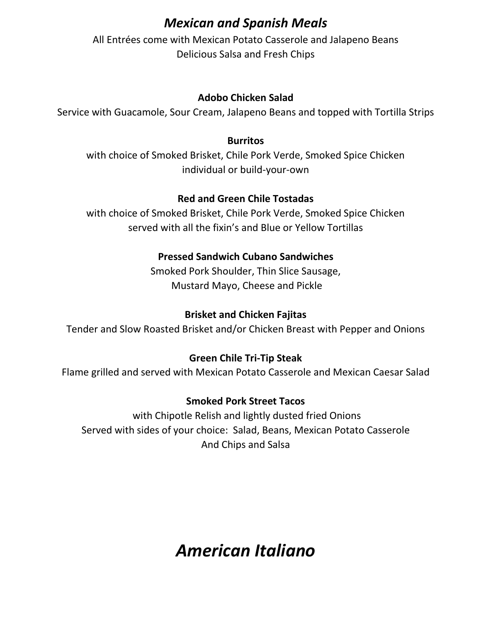## *Mexican and Spanish Meals*

All Entrées come with Mexican Potato Casserole and Jalapeno Beans Delicious Salsa and Fresh Chips

#### **Adobo Chicken Salad**

Service with Guacamole, Sour Cream, Jalapeno Beans and topped with Tortilla Strips

#### **Burritos**

with choice of Smoked Brisket, Chile Pork Verde, Smoked Spice Chicken individual or build-your-own

#### **Red and Green Chile Tostadas**

with choice of Smoked Brisket, Chile Pork Verde, Smoked Spice Chicken served with all the fixin's and Blue or Yellow Tortillas

#### **Pressed Sandwich Cubano Sandwiches**

Smoked Pork Shoulder, Thin Slice Sausage, Mustard Mayo, Cheese and Pickle

#### **Brisket and Chicken Fajitas**

Tender and Slow Roasted Brisket and/or Chicken Breast with Pepper and Onions

#### **Green Chile Tri-Tip Steak**

Flame grilled and served with Mexican Potato Casserole and Mexican Caesar Salad

#### **Smoked Pork Street Tacos**

with Chipotle Relish and lightly dusted fried Onions Served with sides of your choice: Salad, Beans, Mexican Potato Casserole And Chips and Salsa

## *American Italiano*